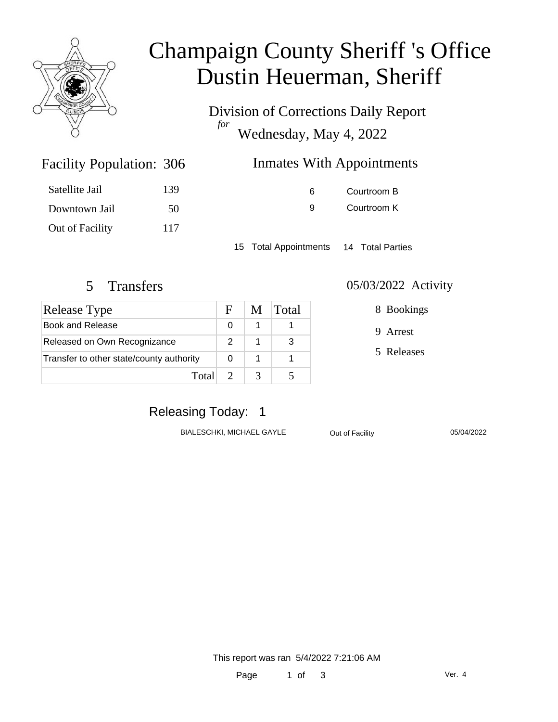

# Champaign County Sheriff 's Office Dustin Heuerman, Sheriff

Division of Corrections Daily Report *for* Wednesday, May 4, 2022

| 306 | <b>Inmates With Appointments</b> |  |
|-----|----------------------------------|--|
|     |                                  |  |

| 6 | Courtroom B |
|---|-------------|
| g | Courtroom K |

15 Total Appointments 14 Total Parties

Facility Population: 306

Satellite Jail 139

Downtown Jail 50

Out of Facility 117

| Release Type                             |  | M | <b>Total</b> |
|------------------------------------------|--|---|--------------|
| Book and Release                         |  |   |              |
| Released on Own Recognizance             |  |   | 3            |
| Transfer to other state/county authority |  |   |              |
| Total 2                                  |  |   |              |

#### 5 Transfers 05/03/2022 Activity

8 Bookings

9 Arrest

5 Releases

### Releasing Today: 1

BIALESCHKI, MICHAEL GAYLE **Out of Facility** 05/04/2022

This report was ran 5/4/2022 7:21:06 AM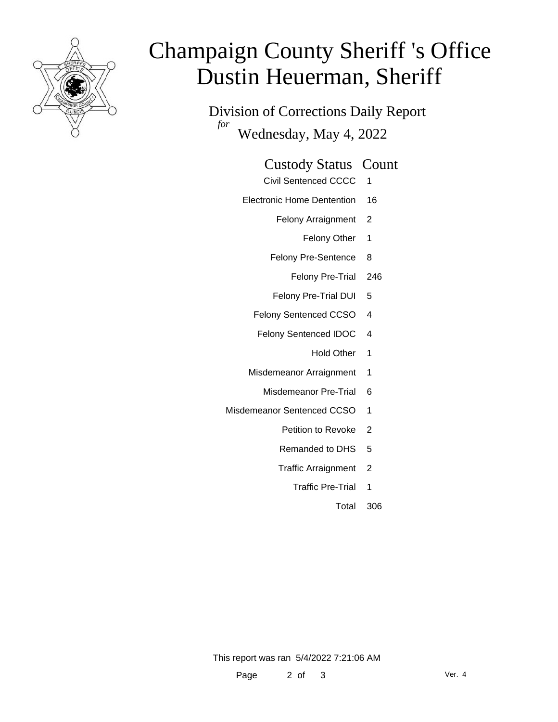

# Champaign County Sheriff 's Office Dustin Heuerman, Sheriff

Division of Corrections Daily Report *for* Wednesday, May 4, 2022

#### Custody Status Count

- Civil Sentenced CCCC 1
- Electronic Home Dentention 16
	- Felony Arraignment 2
		- Felony Other 1
	- Felony Pre-Sentence 8
		- Felony Pre-Trial 246
	- Felony Pre-Trial DUI 5
	- Felony Sentenced CCSO 4
	- Felony Sentenced IDOC 4
		- Hold Other 1
	- Misdemeanor Arraignment 1
		- Misdemeanor Pre-Trial 6
- Misdemeanor Sentenced CCSO 1
	- Petition to Revoke 2
	- Remanded to DHS 5
	- Traffic Arraignment 2
		- Traffic Pre-Trial 1
			- Total 306